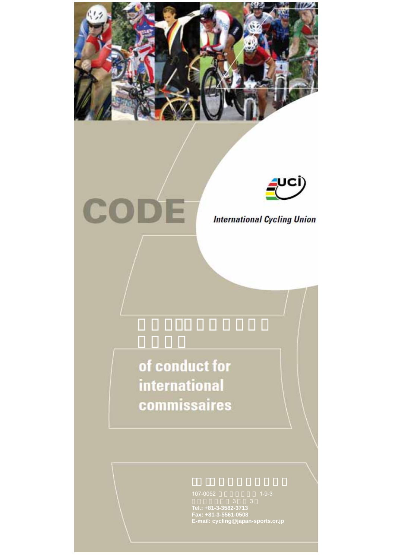



CODE

**International Cycling Union** 

of conduct for international commissaires

**Fax: +81-3-5561-0508 E-mail: cycling@japan-sports.or.jp**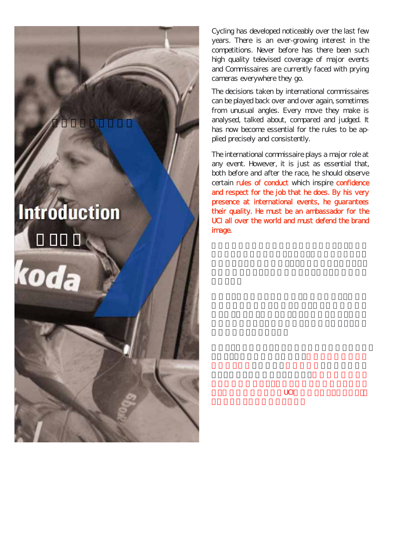# **Introduction**

国際自転車競技連合

にじめ

koda

Cycling has developed noticeably over the last few years. There is an ever-growing interest in the competitions. Never before has there been such high quality televised coverage of major events and Commissaires are currently faced with prying cameras everywhere they go.

The decisions taken by international commissaires can be played back over and over again, sometimes from unusual angles. Every move they make is analysed, talked about, compared and judged. It has now become essential for the rules to be applied precisely and consistently.

The international commissaire plays a major role at any event. However, it is just as essential that, both before and after the race, he should observe certain rules of conduct which inspire confidence and respect for the job that he does. By his very presence at international events, he guarantees their quality. He must be an ambassador for the UCI all over the world and must defend the brand image.

 $\overline{\mathsf{UCI}}$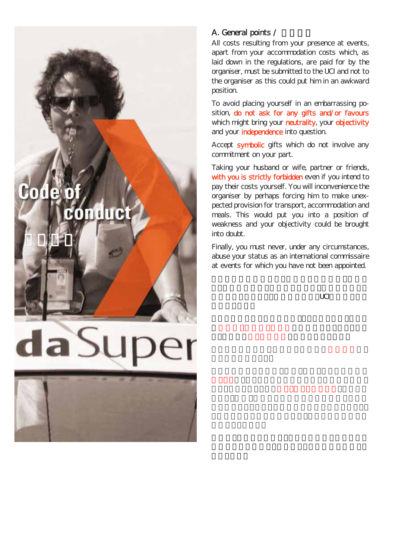# 0Ō conduct

行動規範

### A. General points /

All costs resulting from your presence at events, apart from your accommodation costs which, as laid down in the regulations, are paid for by the organiser, must be submitted to the UCI and not to the organiser as this could put him in an awkward position.

To avoid placing yourself in an embarrassing position, do not ask for any gifts and/or favours which might bring your neutrality, your objectivity and your *independence* into question.

Accept symbolic gifts which do not involve any commitment on your part.

Taking your husband or wife, partner or friends, with you is strictly forbidden even if you intend to pay their costs yourself. You will inconvenience the organiser by perhaps forcing him to make unexpected provision for transport, accommodation and meals. This would put you into a position of weakness and your objectivity could be brought into doubt.

Finally, you must never, under any circumstances, abuse your status as an international commissaire at events for which you have not been appointed.

 $UCI$ 

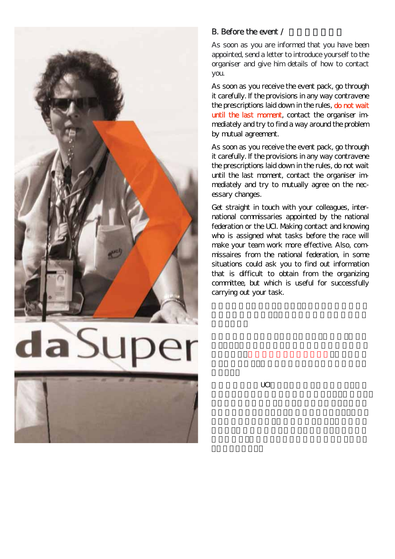

## B. Before the event  $\prime$

As soon as you are informed that you have been appointed, send a letter to introduce yourself to the organiser and give him details of how to contact you.

As soon as you receive the event pack, go through it carefully. If the provisions in any way contravene the prescriptions laid down in the rules, do not wait until the last moment, contact the organiser immediately and try to find a way around the problem by mutual agreement.

As soon as you receive the event pack, go through it carefully. If the provisions in any way contravene the prescriptions laid down in the rules, do not wait until the last moment, contact the organiser immediately and try to mutually agree on the necessary changes.

Get straight in touch with your colleagues, international commissaries appointed by the national federation or the UCI. Making contact and knowing who is assigned what tasks before the race will make your team work more effective. Also, commissaires from the national federation, in some situations could ask you to find out information that is difficult to obtain from the organizing committee, but which is useful for successfully carrying out your task.

 $\cup$  CI $\cup$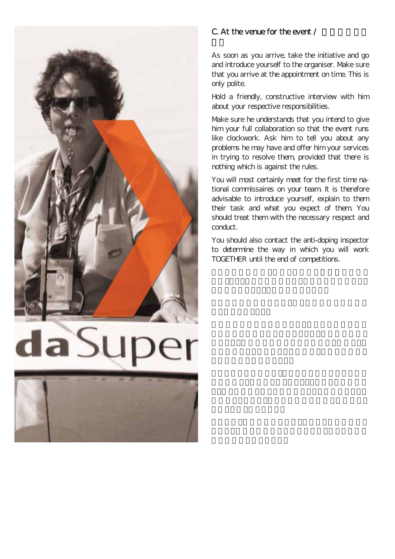

# C. At the venue for the event  $\prime$

As soon as you arrive, take the initiative and go and introduce yourself to the organiser. Make sure that you arrive at the appointment on time. This is only polite.

Hold a friendly, constructive interview with him about your respective responsibilities.

Make sure he understands that you intend to give him your full collaboration so that the event runs like clockwork. Ask him to tell you about any problems he may have and offer him your services in trying to resolve them, provided that there is nothing which is against the rules.

You will most certainly meet for the first time national commissaires on your team. It is therefore advisable to introduce yourself, explain to them their task and what you expect of them. You should treat them with the necessary respect and conduct.

You should also contact the anti-doping inspector to determine the way in which you will work TOGETHER until the end of competitions.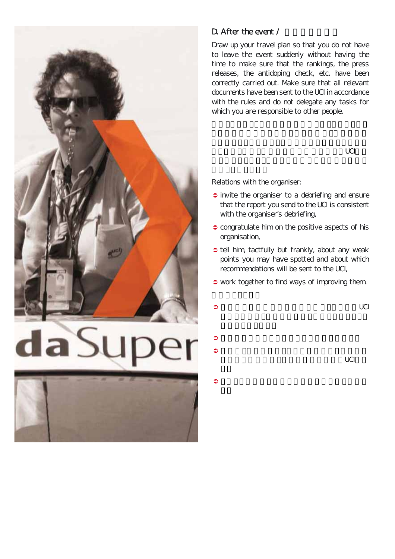

## D. After the event  $\prime$

Draw up your travel plan so that you do not have to leave the event suddenly without having the time to make sure that the rankings, the press releases, the antidoping check, etc. have been correctly carried out. Make sure that all relevant documents have been sent to the UCI in accordance with the rules and do not delegate any tasks for which you are responsible to other people.

 $\Box$ 

Relations with the organiser:

- $\Rightarrow$  invite the organiser to a debriefing and ensure that the report you send to the UCI is consistent with the organiser's debriefing,
- congratulate him on the positive aspects of his organisation,
- tell him, tactfully but frankly, about any weak points you may have spotted and about which recommendations will be sent to the UCI,
- $\bullet$  work together to find ways of improving them.

 $\bullet$ 

- $\bullet$  $\bullet$
- $\bullet$  $\Box$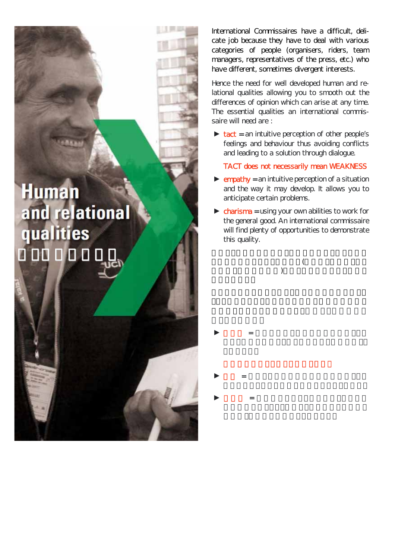**Human** and relational qualities

だっている

International Commissaires have a difficult, delicate job because they have to deal with various categories of people (organisers, riders, team managers, representatives of the press, etc.) who have different, sometimes divergent interests.

Hence the need for well developed human and relational qualities allowing you to smooth out the differences of opinion which can arise at any time. The essential qualities an international commissaire will need are :

 $\triangleright$  tact = an intuitive perception of other people's feelings and behaviour thus avoiding conflicts and leading to a solution through dialogue.

TACT does not necessarily mean WEAKNESS

- $\triangleright$  empathy = an intuitive perception of a situation and the way it may develop. It allows you to anticipate certain problems.
- $\triangleright$  charisma = using your own abilities to work for the general good. An international commissaire will find plenty of opportunities to demonstrate this quality.

 $\epsilon$  $\lambda$ 

 $\blacktriangleright$  and  $\blacktriangleright$  and  $\blacktriangleright$  and  $\blacktriangleright$  and  $\blacktriangleright$  and  $\blacktriangleright$  and  $\blacktriangleright$  and  $\blacktriangleright$  and  $\blacktriangleright$  and  $\blacktriangleright$ 

 $\blacktriangleright$  +  $\blacktriangleright$  +  $\blacktriangleright$  +  $\blacktriangleright$  +  $\blacktriangleright$  +  $\blacktriangleright$  +  $\blacktriangleright$  +  $\blacktriangleright$  +  $\blacktriangleright$  +  $\blacktriangleright$  +  $\blacktriangleright$  +  $\blacktriangleright$  +  $\blacktriangleright$  +  $\blacktriangleright$  +  $\blacktriangleright$  +  $\blacktriangleright$  +  $\blacktriangleright$  +  $\blacktriangleright$  +  $\blacktriangleright$  +  $\blacktriangleright$  +  $\blacktriangleright$  +  $\blacktriangleright$  +

 $\blacktriangleright$  and  $\blacktriangleright$  and  $\blacktriangleright$  and  $\blacktriangleright$  and  $\blacktriangleright$  and  $\blacktriangleright$  and  $\blacktriangleright$  and  $\blacktriangleright$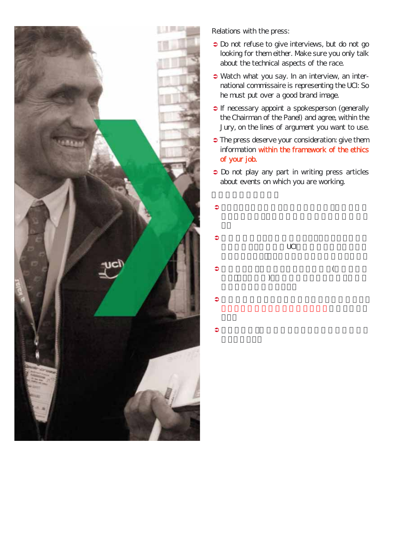

Relations with the press:

- Do not refuse to give interviews, but do not go looking for them either. Make sure you only talk about the technical aspects of the race.
- Watch what you say. In an interview, an international commissaire is representing the UCI: So he must put over a good brand image.
- If necessary appoint a spokesperson (generally the Chairman of the Panel) and agree, within the Jury, on the lines of argument you want to use.
- The press deserve your consideration: give them information within the framework of the ethics of your job.
- Do not play any part in writing press articles about events on which you are working.



 $\bullet$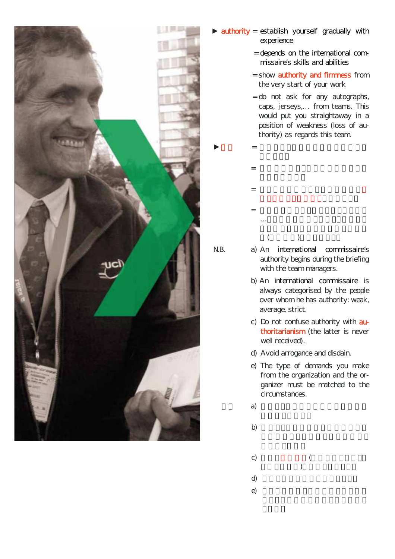

- ► authority = establish yourself gradually with experience
	- = depends on the international commissaire's skills and abilities
	- = show **authority and firmness** from the very start of your work
	- = do not ask for any autographs, caps, jerseys,… from teams. This would put you straightaway in a position of weakness (loss of authority) as regards this team.
	- = 権威は国際コミセールの技能および = あなたの仕事のまさに開始時から = いかなるサイン,キャップ,ジャージ …<br>…もちは、またしない.これはあない.これはあない.これはあない.これはあない.これはあない.これはあない.これはあない.これはあない.これはあない.これはあない.  $($   $)$

 $\blacktriangleright$  and  $\blacktriangleright$  and  $\blacktriangleright$  and  $\blacktriangleright$  and  $\blacktriangleright$  and  $\blacktriangleright$  and  $\blacktriangleright$  and  $\blacktriangleright$ 

- 
- N.B. a) An international commissaire's authority begins during the briefing with the team managers.
	- b) An international commissaire is always categorised by the people over whom he has authority: weak, average, strict.
	- c) Do not confuse authority with authoritarianism (the latter is never well received).
	- d) Avoid arrogance and disdain.
	- e) The type of demands you make from the organization and the organizer must be matched to the circumstances.
	- a)  $\Box$
- b)  $\Box$ 
	- c)  $($  $\big)$ 
		-
		-
	- d) 傲慢と侮蔑の態度を避けること.
	- e) and the set of  $\alpha$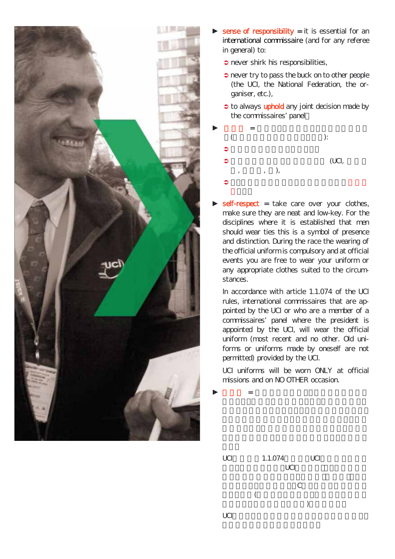

- sense of responsibility  $=$  it is essential for an international commissaire (and for any referee in general) to:
	- $\Rightarrow$  never shirk his responsibilities,
	- $\supset$  never try to pass the buck on to other people (the UCI, the National Federation, the organiser, etc.),
	- $\bullet$  to always uphold any joint decision made by the commissaires' panel.



 $self-respect = take care over your clothes,$ make sure they are neat and low-key. For the disciplines where it is established that men should wear ties this is a symbol of presence and distinction. During the race the wearing of the official uniform is compulsory and at official events you are free to wear your uniform or any appropriate clothes suited to the circumstances.

In accordance with article 1.1.074 of the UCI rules, international commissaires that are appointed by the UCI or who are a member of a commissaires' panel where the president is appointed by the UCI, will wear the official uniform (most recent and no other. Old uniforms or uniforms made by oneself are not permitted) provided by the UCI.

UCI uniforms will be worn ONLY at official missions and on NO OTHER occasion.

 $\blacktriangleright$  and  $\blacktriangleright$  and  $\blacktriangleright$  and  $\blacktriangleright$  and  $\blacktriangleright$  and  $\blacktriangleright$  and  $\blacktriangleright$  and  $\blacktriangleright$ 

UCI
1.1.074
UCI
1.1.074
UCI
<sub>1.1.074</sub>
UCI
<sub>1.1.074</sub>
UCI
<sub>1.1.074</sub>  $UCI$  $C$  $\left($  $)$  $UCI$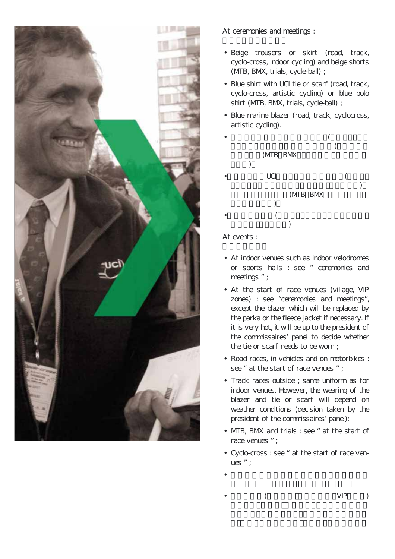

At ceremonies and meetings :

- Beige trousers or skirt (road, track, cyclo-cross, indoor cycling) and beige shorts (MTB, BMX, trials, cycle-ball) ;
- Blue shirt with UCI tie or scarf (road, track, cyclo-cross, artistic cycling) or blue polo shirt (MTB, BMX, trials, cycle-ball) ;
- Blue marine blazer (road, track, cyclocross, artistic cycling).



At events :

- At indoor venues such as indoor velodromes or sports halls : see " ceremonies and meetings " ;
- At the start of race venues (village, VIP zones) : see "ceremonies and meetings", except the blazer which will be replaced by the parka or the fleece jacket if necessary. If it is very hot, it will be up to the president of the commissaires' panel to decide whether the tie or scarf needs to be worn ;
- Road races, in vehicles and on motorbikes : see " at the start of race venues " :
- Track races outside ; same uniform as for indoor venues. However, the wearing of the blazer and tie or scarf will depend on weather conditions (decision taken by the president of the commissaires' panel);
- MTB, BMX and trials : see " at the start of race venues " ;
- Cyclo-cross : see " at the start of race venues " ;
- $\bullet$
- ( VIP)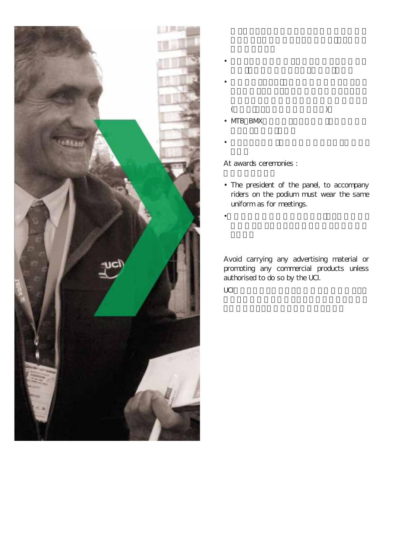

 $($ • MTB BMX

 $\bullet$ 

 $\bullet$ 

 $\bullet$ 

At awards ceremonies :

• The president of the panel, to accompany riders on the podium must wear the same uniform as for meetings.

•台上で競技者に同行するチーフ・コミセールは,

Avoid carrying any advertising material or promoting any commercial products unless authorised to do so by the UCI.  $UCI$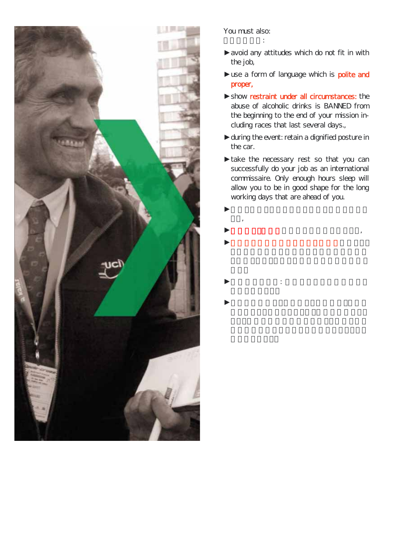

#### You must also: あなたはまた:

- ►avoid any attitudes which do not fit in with the job,
- ►use a form of language which is **polite and** proper,
- ►show restraint under all circumstances: the abuse of alcoholic drinks is BANNED from the beginning to the end of your mission including races that last several days.,
- ► during the event: retain a dignified posture in the car.
- ►take the necessary rest so that you can successfully do your job as an international commissaire. Only enough hours sleep will allow you to be in good shape for the long working days that are ahead of you.
- $\blacktriangleright$ こと,  $\blacktriangleright$  $\blacktriangleright$
- $\blacktriangleright$  +  $\blacktriangleright$  +  $\blacktriangleright$  +  $\blacktriangleright$  +  $\blacktriangleright$  +  $\blacktriangleright$  +  $\blacktriangleright$  +  $\blacktriangleright$  +  $\blacktriangleright$  +  $\blacktriangleright$  +  $\blacktriangleright$  +  $\blacktriangleright$  +  $\blacktriangleright$  +  $\blacktriangleright$  +  $\blacktriangleright$  +  $\blacktriangleright$  +  $\blacktriangleright$  +  $\blacktriangleright$  +  $\blacktriangleright$  +  $\blacktriangleright$  +  $\blacktriangleright$  +  $\blacktriangleright$  +
- $\blacktriangleright$